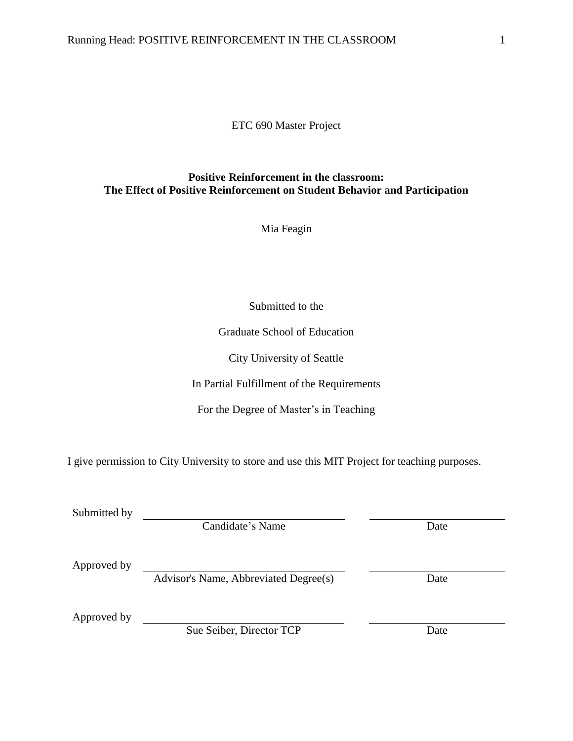# ETC 690 Master Project

# **Positive Reinforcement in the classroom: The Effect of Positive Reinforcement on Student Behavior and Participation**

Mia Feagin

Submitted to the

Graduate School of Education

City University of Seattle

In Partial Fulfillment of the Requirements

For the Degree of Master's in Teaching

I give permission to City University to store and use this MIT Project for teaching purposes.

Submitted by

Candidate's Name Date

Approved by

Advisor's Name, Abbreviated Degree(s) Date

Approved by

Sue Seiber, Director TCP Date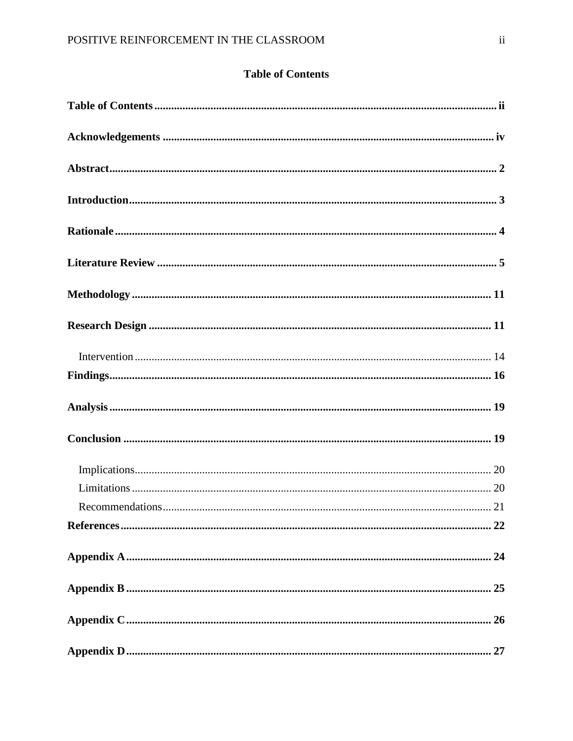# **Table of Contents**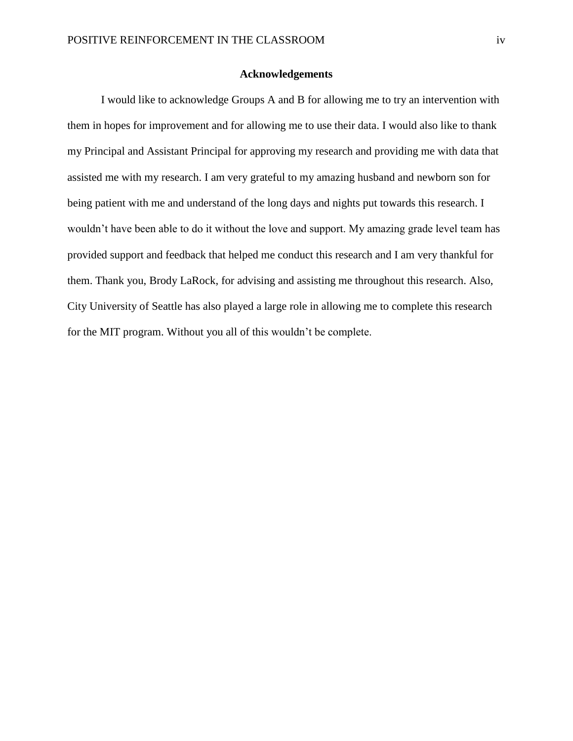# **Acknowledgements**

I would like to acknowledge Groups A and B for allowing me to try an intervention with them in hopes for improvement and for allowing me to use their data. I would also like to thank my Principal and Assistant Principal for approving my research and providing me with data that assisted me with my research. I am very grateful to my amazing husband and newborn son for being patient with me and understand of the long days and nights put towards this research. I wouldn't have been able to do it without the love and support. My amazing grade level team has provided support and feedback that helped me conduct this research and I am very thankful for them. Thank you, Brody LaRock, for advising and assisting me throughout this research. Also, City University of Seattle has also played a large role in allowing me to complete this research for the MIT program. Without you all of this wouldn't be complete.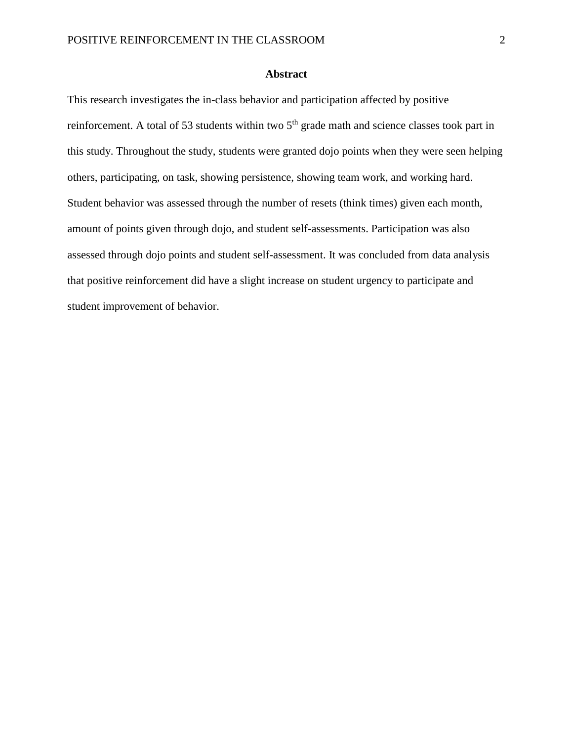# **Abstract**

This research investigates the in-class behavior and participation affected by positive reinforcement. A total of 53 students within two 5<sup>th</sup> grade math and science classes took part in this study. Throughout the study, students were granted dojo points when they were seen helping others, participating, on task, showing persistence, showing team work, and working hard. Student behavior was assessed through the number of resets (think times) given each month, amount of points given through dojo, and student self-assessments. Participation was also assessed through dojo points and student self-assessment. It was concluded from data analysis that positive reinforcement did have a slight increase on student urgency to participate and student improvement of behavior.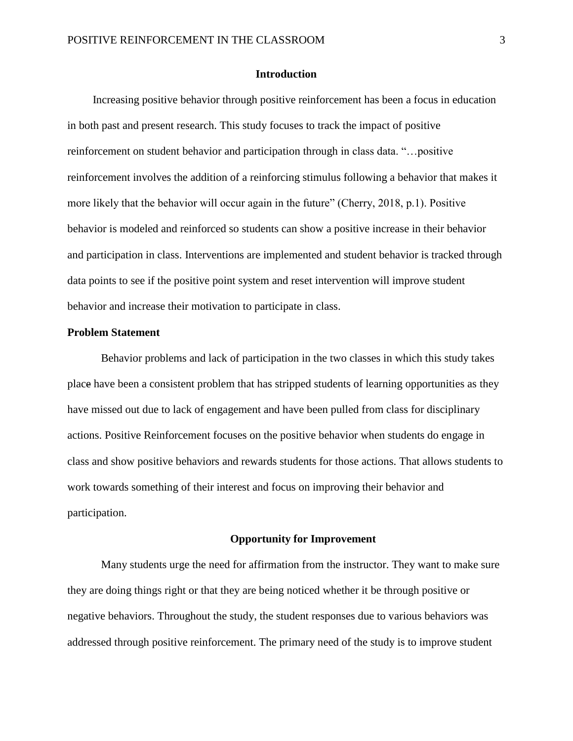### **Introduction**

 Increasing positive behavior through positive reinforcement has been a focus in education in both past and present research. This study focuses to track the impact of positive reinforcement on student behavior and participation through in class data. "…positive reinforcement involves the addition of a reinforcing stimulus following a behavior that makes it more likely that the behavior will occur again in the future" (Cherry, 2018, p.1). Positive behavior is modeled and reinforced so students can show a positive increase in their behavior and participation in class. Interventions are implemented and student behavior is tracked through data points to see if the positive point system and reset intervention will improve student behavior and increase their motivation to participate in class.

### **Problem Statement**

Behavior problems and lack of participation in the two classes in which this study takes place have been a consistent problem that has stripped students of learning opportunities as they have missed out due to lack of engagement and have been pulled from class for disciplinary actions. Positive Reinforcement focuses on the positive behavior when students do engage in class and show positive behaviors and rewards students for those actions. That allows students to work towards something of their interest and focus on improving their behavior and participation.

#### **Opportunity for Improvement**

Many students urge the need for affirmation from the instructor. They want to make sure they are doing things right or that they are being noticed whether it be through positive or negative behaviors. Throughout the study, the student responses due to various behaviors was addressed through positive reinforcement. The primary need of the study is to improve student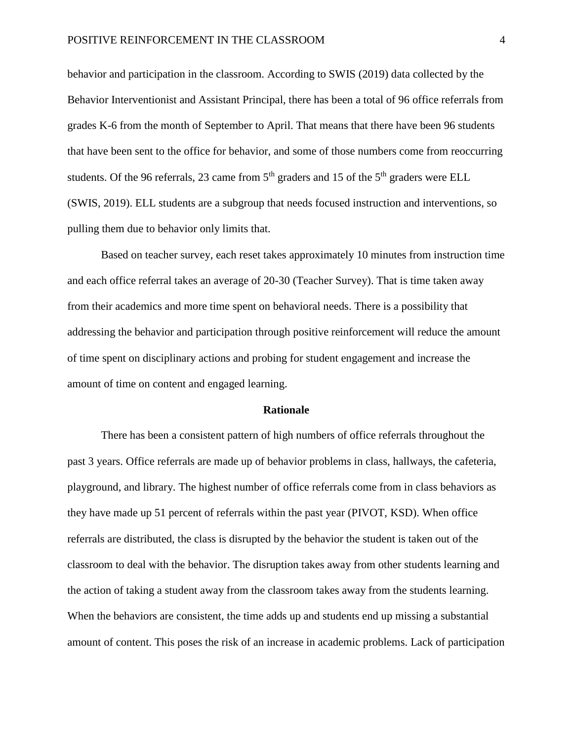behavior and participation in the classroom. According to SWIS (2019) data collected by the Behavior Interventionist and Assistant Principal, there has been a total of 96 office referrals from grades K-6 from the month of September to April. That means that there have been 96 students that have been sent to the office for behavior, and some of those numbers come from reoccurring students. Of the 96 referrals, 23 came from  $5<sup>th</sup>$  graders and 15 of the  $5<sup>th</sup>$  graders were ELL (SWIS, 2019). ELL students are a subgroup that needs focused instruction and interventions, so pulling them due to behavior only limits that.

Based on teacher survey, each reset takes approximately 10 minutes from instruction time and each office referral takes an average of 20-30 (Teacher Survey). That is time taken away from their academics and more time spent on behavioral needs. There is a possibility that addressing the behavior and participation through positive reinforcement will reduce the amount of time spent on disciplinary actions and probing for student engagement and increase the amount of time on content and engaged learning.

#### **Rationale**

There has been a consistent pattern of high numbers of office referrals throughout the past 3 years. Office referrals are made up of behavior problems in class, hallways, the cafeteria, playground, and library. The highest number of office referrals come from in class behaviors as they have made up 51 percent of referrals within the past year (PIVOT, KSD). When office referrals are distributed, the class is disrupted by the behavior the student is taken out of the classroom to deal with the behavior. The disruption takes away from other students learning and the action of taking a student away from the classroom takes away from the students learning. When the behaviors are consistent, the time adds up and students end up missing a substantial amount of content. This poses the risk of an increase in academic problems. Lack of participation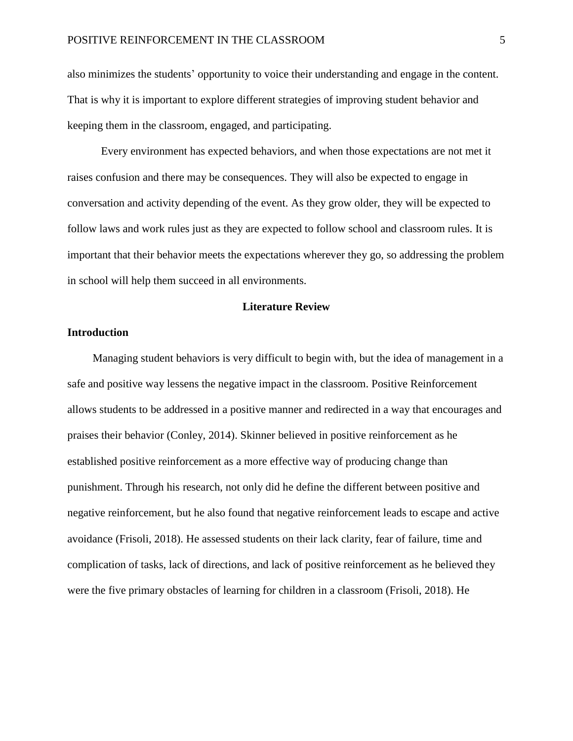also minimizes the students' opportunity to voice their understanding and engage in the content. That is why it is important to explore different strategies of improving student behavior and keeping them in the classroom, engaged, and participating.

Every environment has expected behaviors, and when those expectations are not met it raises confusion and there may be consequences. They will also be expected to engage in conversation and activity depending of the event. As they grow older, they will be expected to follow laws and work rules just as they are expected to follow school and classroom rules. It is important that their behavior meets the expectations wherever they go, so addressing the problem in school will help them succeed in all environments.

# **Literature Review**

# **Introduction**

Managing student behaviors is very difficult to begin with, but the idea of management in a safe and positive way lessens the negative impact in the classroom. Positive Reinforcement allows students to be addressed in a positive manner and redirected in a way that encourages and praises their behavior (Conley, 2014). Skinner believed in positive reinforcement as he established positive reinforcement as a more effective way of producing change than punishment. Through his research, not only did he define the different between positive and negative reinforcement, but he also found that negative reinforcement leads to escape and active avoidance (Frisoli, 2018). He assessed students on their lack clarity, fear of failure, time and complication of tasks, lack of directions, and lack of positive reinforcement as he believed they were the five primary obstacles of learning for children in a classroom (Frisoli, 2018). He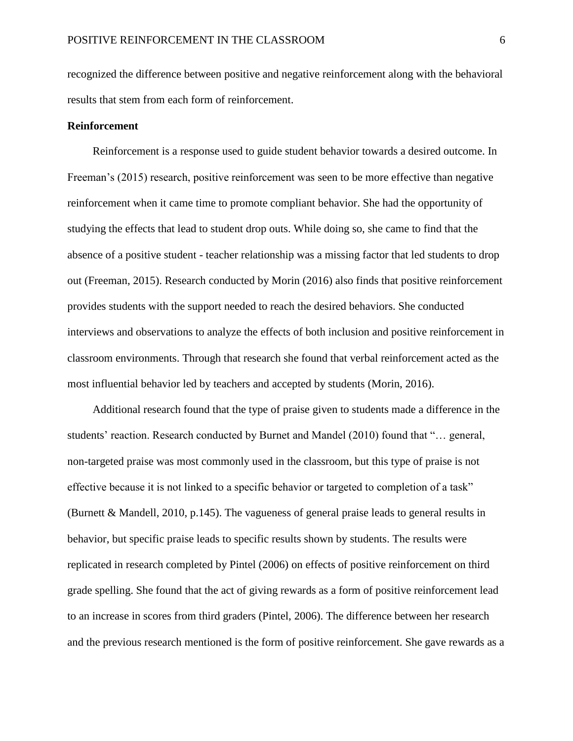recognized the difference between positive and negative reinforcement along with the behavioral results that stem from each form of reinforcement.

### **Reinforcement**

 Reinforcement is a response used to guide student behavior towards a desired outcome. In Freeman's (2015) research, positive reinforcement was seen to be more effective than negative reinforcement when it came time to promote compliant behavior. She had the opportunity of studying the effects that lead to student drop outs. While doing so, she came to find that the absence of a positive student - teacher relationship was a missing factor that led students to drop out (Freeman, 2015). Research conducted by Morin (2016) also finds that positive reinforcement provides students with the support needed to reach the desired behaviors. She conducted interviews and observations to analyze the effects of both inclusion and positive reinforcement in classroom environments. Through that research she found that verbal reinforcement acted as the most influential behavior led by teachers and accepted by students (Morin, 2016).

 Additional research found that the type of praise given to students made a difference in the students' reaction. Research conducted by Burnet and Mandel (2010) found that "… general, non-targeted praise was most commonly used in the classroom, but this type of praise is not effective because it is not linked to a specific behavior or targeted to completion of a task" (Burnett & Mandell, 2010, p.145). The vagueness of general praise leads to general results in behavior, but specific praise leads to specific results shown by students. The results were replicated in research completed by Pintel (2006) on effects of positive reinforcement on third grade spelling. She found that the act of giving rewards as a form of positive reinforcement lead to an increase in scores from third graders (Pintel, 2006). The difference between her research and the previous research mentioned is the form of positive reinforcement. She gave rewards as a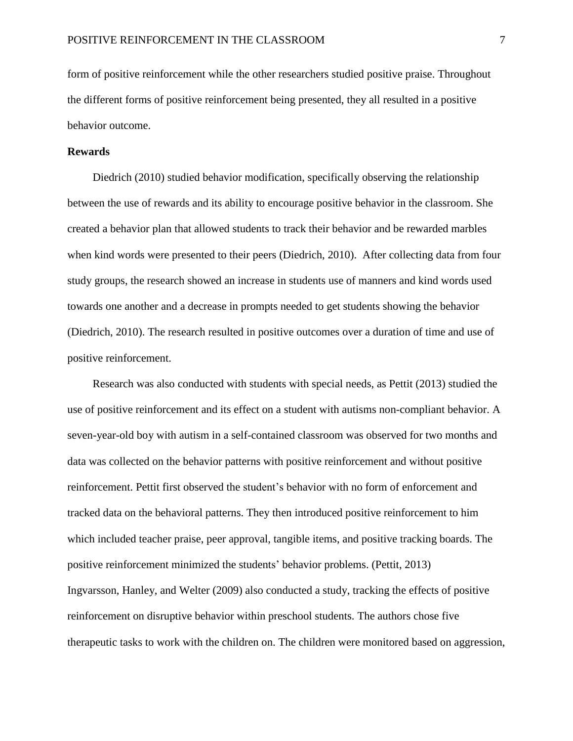form of positive reinforcement while the other researchers studied positive praise. Throughout the different forms of positive reinforcement being presented, they all resulted in a positive behavior outcome.

### **Rewards**

 Diedrich (2010) studied behavior modification, specifically observing the relationship between the use of rewards and its ability to encourage positive behavior in the classroom. She created a behavior plan that allowed students to track their behavior and be rewarded marbles when kind words were presented to their peers (Diedrich, 2010). After collecting data from four study groups, the research showed an increase in students use of manners and kind words used towards one another and a decrease in prompts needed to get students showing the behavior (Diedrich, 2010). The research resulted in positive outcomes over a duration of time and use of positive reinforcement.

 Research was also conducted with students with special needs, as Pettit (2013) studied the use of positive reinforcement and its effect on a student with autisms non-compliant behavior. A seven-year-old boy with autism in a self-contained classroom was observed for two months and data was collected on the behavior patterns with positive reinforcement and without positive reinforcement. Pettit first observed the student's behavior with no form of enforcement and tracked data on the behavioral patterns. They then introduced positive reinforcement to him which included teacher praise, peer approval, tangible items, and positive tracking boards. The positive reinforcement minimized the students' behavior problems. (Pettit, 2013) Ingvarsson, Hanley, and Welter (2009) also conducted a study, tracking the effects of positive reinforcement on disruptive behavior within preschool students. The authors chose five therapeutic tasks to work with the children on. The children were monitored based on aggression,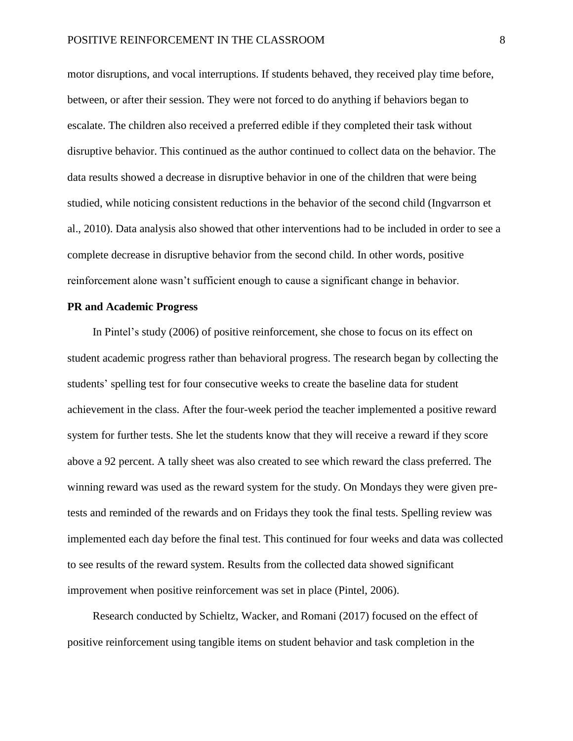motor disruptions, and vocal interruptions. If students behaved, they received play time before, between, or after their session. They were not forced to do anything if behaviors began to escalate. The children also received a preferred edible if they completed their task without disruptive behavior. This continued as the author continued to collect data on the behavior. The data results showed a decrease in disruptive behavior in one of the children that were being studied, while noticing consistent reductions in the behavior of the second child (Ingvarrson et al., 2010). Data analysis also showed that other interventions had to be included in order to see a complete decrease in disruptive behavior from the second child. In other words, positive reinforcement alone wasn't sufficient enough to cause a significant change in behavior.

# **PR and Academic Progress**

 In Pintel's study (2006) of positive reinforcement, she chose to focus on its effect on student academic progress rather than behavioral progress. The research began by collecting the students' spelling test for four consecutive weeks to create the baseline data for student achievement in the class. After the four-week period the teacher implemented a positive reward system for further tests. She let the students know that they will receive a reward if they score above a 92 percent. A tally sheet was also created to see which reward the class preferred. The winning reward was used as the reward system for the study. On Mondays they were given pretests and reminded of the rewards and on Fridays they took the final tests. Spelling review was implemented each day before the final test. This continued for four weeks and data was collected to see results of the reward system. Results from the collected data showed significant improvement when positive reinforcement was set in place (Pintel, 2006).

 Research conducted by Schieltz, Wacker, and Romani (2017) focused on the effect of positive reinforcement using tangible items on student behavior and task completion in the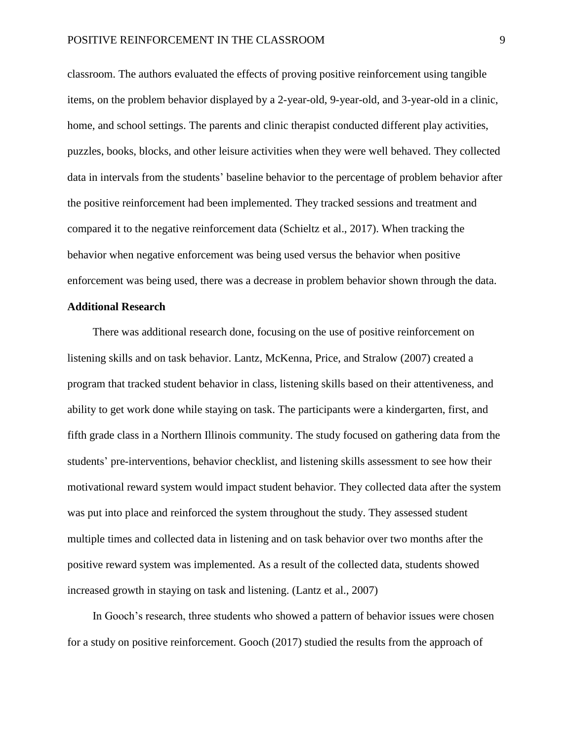classroom. The authors evaluated the effects of proving positive reinforcement using tangible items, on the problem behavior displayed by a 2-year-old, 9-year-old, and 3-year-old in a clinic, home, and school settings. The parents and clinic therapist conducted different play activities, puzzles, books, blocks, and other leisure activities when they were well behaved. They collected data in intervals from the students' baseline behavior to the percentage of problem behavior after the positive reinforcement had been implemented. They tracked sessions and treatment and compared it to the negative reinforcement data (Schieltz et al., 2017). When tracking the behavior when negative enforcement was being used versus the behavior when positive enforcement was being used, there was a decrease in problem behavior shown through the data.

### **Additional Research**

 There was additional research done, focusing on the use of positive reinforcement on listening skills and on task behavior. Lantz, McKenna, Price, and Stralow (2007) created a program that tracked student behavior in class, listening skills based on their attentiveness, and ability to get work done while staying on task. The participants were a kindergarten, first, and fifth grade class in a Northern Illinois community. The study focused on gathering data from the students' pre-interventions, behavior checklist, and listening skills assessment to see how their motivational reward system would impact student behavior. They collected data after the system was put into place and reinforced the system throughout the study. They assessed student multiple times and collected data in listening and on task behavior over two months after the positive reward system was implemented. As a result of the collected data, students showed increased growth in staying on task and listening. (Lantz et al., 2007)

 In Gooch's research, three students who showed a pattern of behavior issues were chosen for a study on positive reinforcement. Gooch (2017) studied the results from the approach of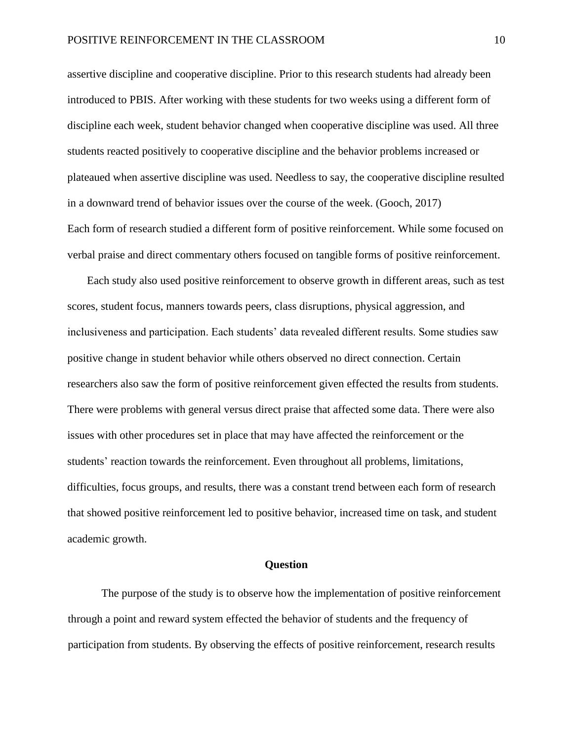assertive discipline and cooperative discipline. Prior to this research students had already been introduced to PBIS. After working with these students for two weeks using a different form of discipline each week, student behavior changed when cooperative discipline was used. All three students reacted positively to cooperative discipline and the behavior problems increased or plateaued when assertive discipline was used. Needless to say, the cooperative discipline resulted in a downward trend of behavior issues over the course of the week. (Gooch, 2017) Each form of research studied a different form of positive reinforcement. While some focused on verbal praise and direct commentary others focused on tangible forms of positive reinforcement.

 Each study also used positive reinforcement to observe growth in different areas, such as test scores, student focus, manners towards peers, class disruptions, physical aggression, and inclusiveness and participation. Each students' data revealed different results. Some studies saw positive change in student behavior while others observed no direct connection. Certain researchers also saw the form of positive reinforcement given effected the results from students. There were problems with general versus direct praise that affected some data. There were also issues with other procedures set in place that may have affected the reinforcement or the students' reaction towards the reinforcement. Even throughout all problems, limitations, difficulties, focus groups, and results, there was a constant trend between each form of research that showed positive reinforcement led to positive behavior, increased time on task, and student academic growth.

# **Question**

 The purpose of the study is to observe how the implementation of positive reinforcement through a point and reward system effected the behavior of students and the frequency of participation from students. By observing the effects of positive reinforcement, research results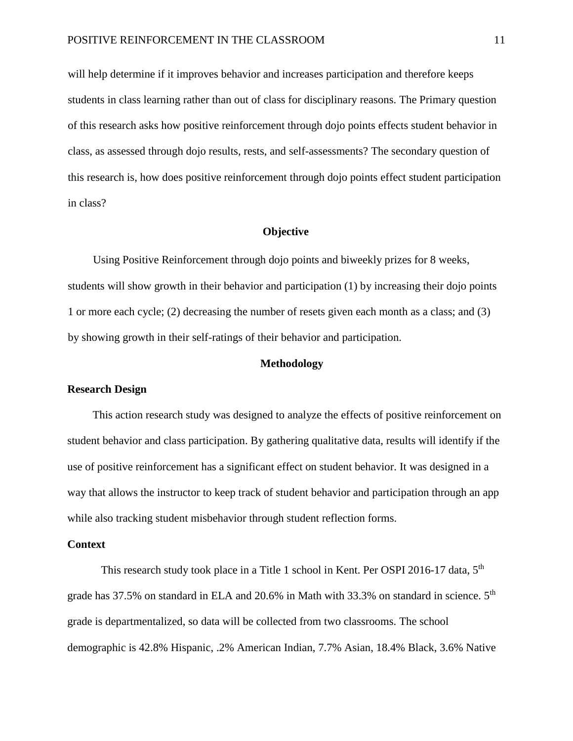will help determine if it improves behavior and increases participation and therefore keeps students in class learning rather than out of class for disciplinary reasons. The Primary question of this research asks how positive reinforcement through dojo points effects student behavior in class, as assessed through dojo results, rests, and self-assessments? The secondary question of this research is, how does positive reinforcement through dojo points effect student participation in class?

# **Objective**

 Using Positive Reinforcement through dojo points and biweekly prizes for 8 weeks, students will show growth in their behavior and participation (1) by increasing their dojo points 1 or more each cycle; (2) decreasing the number of resets given each month as a class; and (3) by showing growth in their self-ratings of their behavior and participation.

#### **Methodology**

## **Research Design**

 This action research study was designed to analyze the effects of positive reinforcement on student behavior and class participation. By gathering qualitative data, results will identify if the use of positive reinforcement has a significant effect on student behavior. It was designed in a way that allows the instructor to keep track of student behavior and participation through an app while also tracking student misbehavior through student reflection forms.

#### **Context**

This research study took place in a Title 1 school in Kent. Per OSPI 2016-17 data, 5<sup>th</sup> grade has 37.5% on standard in ELA and 20.6% in Math with 33.3% on standard in science. 5<sup>th</sup> grade is departmentalized, so data will be collected from two classrooms. The school demographic is 42.8% Hispanic, .2% American Indian, 7.7% Asian, 18.4% Black, 3.6% Native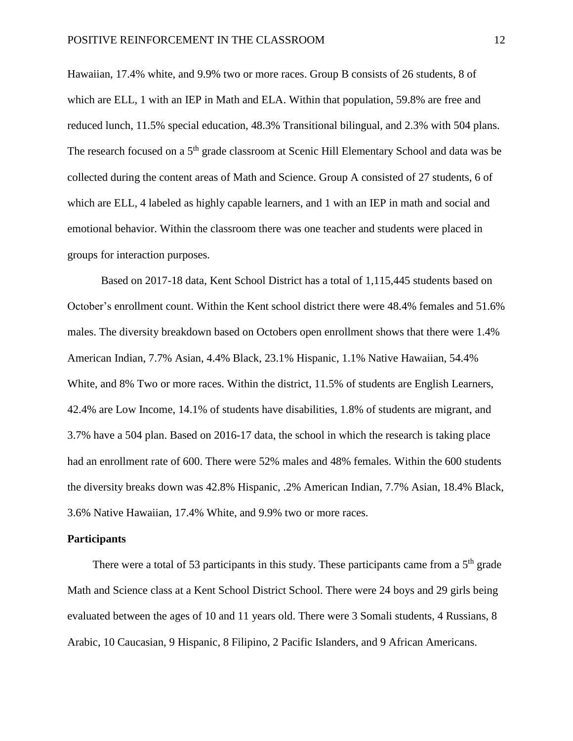Hawaiian, 17.4% white, and 9.9% two or more races. Group B consists of 26 students, 8 of which are ELL, 1 with an IEP in Math and ELA. Within that population, 59.8% are free and reduced lunch, 11.5% special education, 48.3% Transitional bilingual, and 2.3% with 504 plans. The research focused on a 5<sup>th</sup> grade classroom at Scenic Hill Elementary School and data was be collected during the content areas of Math and Science. Group A consisted of 27 students, 6 of which are ELL, 4 labeled as highly capable learners, and 1 with an IEP in math and social and emotional behavior. Within the classroom there was one teacher and students were placed in groups for interaction purposes.

Based on 2017-18 data, Kent School District has a total of 1,115,445 students based on October's enrollment count. Within the Kent school district there were 48.4% females and 51.6% males. The diversity breakdown based on Octobers open enrollment shows that there were 1.4% American Indian, 7.7% Asian, 4.4% Black, 23.1% Hispanic, 1.1% Native Hawaiian, 54.4% White, and 8% Two or more races. Within the district, 11.5% of students are English Learners, 42.4% are Low Income, 14.1% of students have disabilities, 1.8% of students are migrant, and 3.7% have a 504 plan. Based on 2016-17 data, the school in which the research is taking place had an enrollment rate of 600. There were 52% males and 48% females. Within the 600 students the diversity breaks down was 42.8% Hispanic, .2% American Indian, 7.7% Asian, 18.4% Black, 3.6% Native Hawaiian, 17.4% White, and 9.9% two or more races.

#### **Participants**

There were a total of 53 participants in this study. These participants came from a  $5<sup>th</sup>$  grade Math and Science class at a Kent School District School. There were 24 boys and 29 girls being evaluated between the ages of 10 and 11 years old. There were 3 Somali students, 4 Russians, 8 Arabic, 10 Caucasian, 9 Hispanic, 8 Filipino, 2 Pacific Islanders, and 9 African Americans.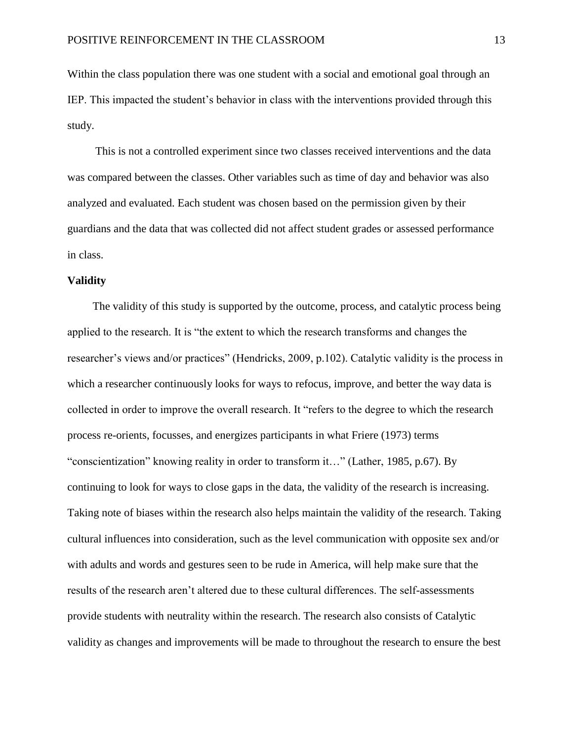Within the class population there was one student with a social and emotional goal through an IEP. This impacted the student's behavior in class with the interventions provided through this study.

 This is not a controlled experiment since two classes received interventions and the data was compared between the classes. Other variables such as time of day and behavior was also analyzed and evaluated. Each student was chosen based on the permission given by their guardians and the data that was collected did not affect student grades or assessed performance in class.

### **Validity**

The validity of this study is supported by the outcome, process, and catalytic process being applied to the research. It is "the extent to which the research transforms and changes the researcher's views and/or practices" (Hendricks, 2009, p.102). Catalytic validity is the process in which a researcher continuously looks for ways to refocus, improve, and better the way data is collected in order to improve the overall research. It "refers to the degree to which the research process re-orients, focusses, and energizes participants in what Friere (1973) terms "conscientization" knowing reality in order to transform it…" (Lather, 1985, p.67). By continuing to look for ways to close gaps in the data, the validity of the research is increasing. Taking note of biases within the research also helps maintain the validity of the research. Taking cultural influences into consideration, such as the level communication with opposite sex and/or with adults and words and gestures seen to be rude in America, will help make sure that the results of the research aren't altered due to these cultural differences. The self-assessments provide students with neutrality within the research. The research also consists of Catalytic validity as changes and improvements will be made to throughout the research to ensure the best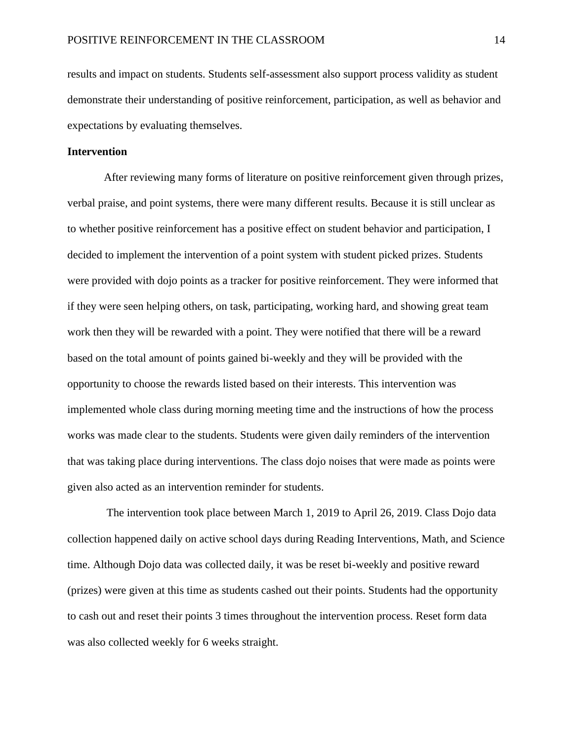results and impact on students. Students self-assessment also support process validity as student demonstrate their understanding of positive reinforcement, participation, as well as behavior and expectations by evaluating themselves.

# **Intervention**

 After reviewing many forms of literature on positive reinforcement given through prizes, verbal praise, and point systems, there were many different results. Because it is still unclear as to whether positive reinforcement has a positive effect on student behavior and participation, I decided to implement the intervention of a point system with student picked prizes. Students were provided with dojo points as a tracker for positive reinforcement. They were informed that if they were seen helping others, on task, participating, working hard, and showing great team work then they will be rewarded with a point. They were notified that there will be a reward based on the total amount of points gained bi-weekly and they will be provided with the opportunity to choose the rewards listed based on their interests. This intervention was implemented whole class during morning meeting time and the instructions of how the process works was made clear to the students. Students were given daily reminders of the intervention that was taking place during interventions. The class dojo noises that were made as points were given also acted as an intervention reminder for students.

 The intervention took place between March 1, 2019 to April 26, 2019. Class Dojo data collection happened daily on active school days during Reading Interventions, Math, and Science time. Although Dojo data was collected daily, it was be reset bi-weekly and positive reward (prizes) were given at this time as students cashed out their points. Students had the opportunity to cash out and reset their points 3 times throughout the intervention process. Reset form data was also collected weekly for 6 weeks straight.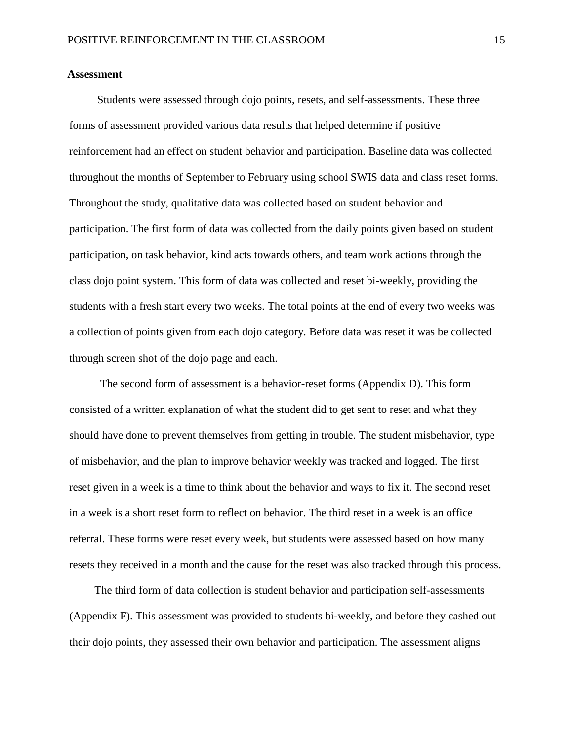# **Assessment**

 Students were assessed through dojo points, resets, and self-assessments. These three forms of assessment provided various data results that helped determine if positive reinforcement had an effect on student behavior and participation. Baseline data was collected throughout the months of September to February using school SWIS data and class reset forms. Throughout the study, qualitative data was collected based on student behavior and participation. The first form of data was collected from the daily points given based on student participation, on task behavior, kind acts towards others, and team work actions through the class dojo point system. This form of data was collected and reset bi-weekly, providing the students with a fresh start every two weeks. The total points at the end of every two weeks was a collection of points given from each dojo category. Before data was reset it was be collected through screen shot of the dojo page and each.

 The second form of assessment is a behavior-reset forms (Appendix D). This form consisted of a written explanation of what the student did to get sent to reset and what they should have done to prevent themselves from getting in trouble. The student misbehavior, type of misbehavior, and the plan to improve behavior weekly was tracked and logged. The first reset given in a week is a time to think about the behavior and ways to fix it. The second reset in a week is a short reset form to reflect on behavior. The third reset in a week is an office referral. These forms were reset every week, but students were assessed based on how many resets they received in a month and the cause for the reset was also tracked through this process.

 The third form of data collection is student behavior and participation self-assessments (Appendix F). This assessment was provided to students bi-weekly, and before they cashed out their dojo points, they assessed their own behavior and participation. The assessment aligns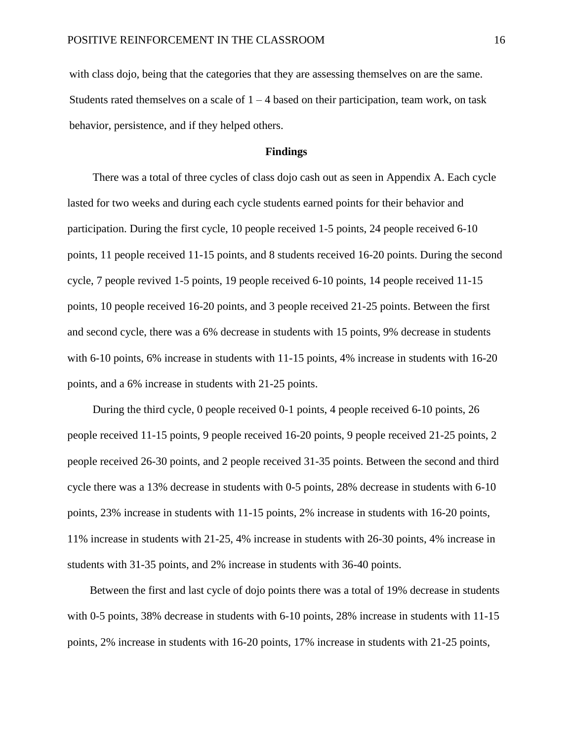with class dojo, being that the categories that they are assessing themselves on are the same. Students rated themselves on a scale of  $1 - 4$  based on their participation, team work, on task behavior, persistence, and if they helped others.

# **Findings**

 There was a total of three cycles of class dojo cash out as seen in Appendix A. Each cycle lasted for two weeks and during each cycle students earned points for their behavior and participation. During the first cycle, 10 people received 1-5 points, 24 people received 6-10 points, 11 people received 11-15 points, and 8 students received 16-20 points. During the second cycle, 7 people revived 1-5 points, 19 people received 6-10 points, 14 people received 11-15 points, 10 people received 16-20 points, and 3 people received 21-25 points. Between the first and second cycle, there was a 6% decrease in students with 15 points, 9% decrease in students with 6-10 points, 6% increase in students with 11-15 points, 4% increase in students with 16-20 points, and a 6% increase in students with 21-25 points.

 During the third cycle, 0 people received 0-1 points, 4 people received 6-10 points, 26 people received 11-15 points, 9 people received 16-20 points, 9 people received 21-25 points, 2 people received 26-30 points, and 2 people received 31-35 points. Between the second and third cycle there was a 13% decrease in students with 0-5 points, 28% decrease in students with 6-10 points, 23% increase in students with 11-15 points, 2% increase in students with 16-20 points, 11% increase in students with 21-25, 4% increase in students with 26-30 points, 4% increase in students with 31-35 points, and 2% increase in students with 36-40 points.

 Between the first and last cycle of dojo points there was a total of 19% decrease in students with 0-5 points, 38% decrease in students with 6-10 points, 28% increase in students with 11-15 points, 2% increase in students with 16-20 points, 17% increase in students with 21-25 points,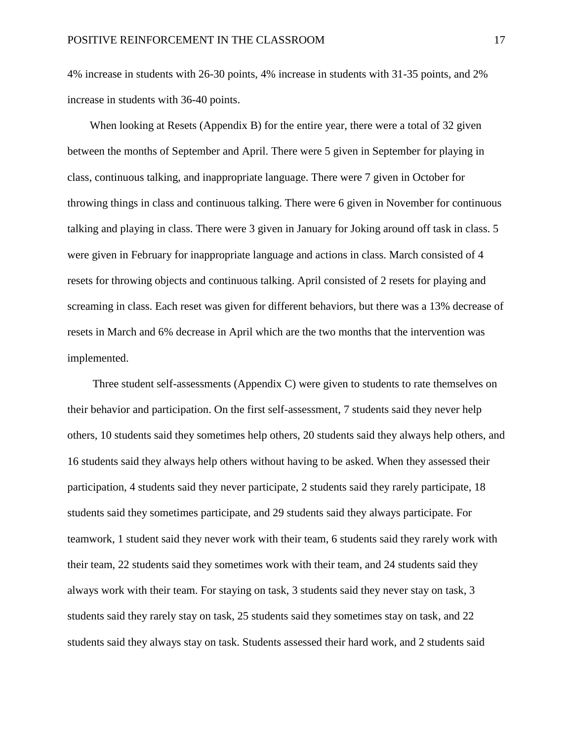4% increase in students with 26-30 points, 4% increase in students with 31-35 points, and 2% increase in students with 36-40 points.

When looking at Resets (Appendix B) for the entire year, there were a total of 32 given between the months of September and April. There were 5 given in September for playing in class, continuous talking, and inappropriate language. There were 7 given in October for throwing things in class and continuous talking. There were 6 given in November for continuous talking and playing in class. There were 3 given in January for Joking around off task in class. 5 were given in February for inappropriate language and actions in class. March consisted of 4 resets for throwing objects and continuous talking. April consisted of 2 resets for playing and screaming in class. Each reset was given for different behaviors, but there was a 13% decrease of resets in March and 6% decrease in April which are the two months that the intervention was implemented.

 Three student self-assessments (Appendix C) were given to students to rate themselves on their behavior and participation. On the first self-assessment, 7 students said they never help others, 10 students said they sometimes help others, 20 students said they always help others, and 16 students said they always help others without having to be asked. When they assessed their participation, 4 students said they never participate, 2 students said they rarely participate, 18 students said they sometimes participate, and 29 students said they always participate. For teamwork, 1 student said they never work with their team, 6 students said they rarely work with their team, 22 students said they sometimes work with their team, and 24 students said they always work with their team. For staying on task, 3 students said they never stay on task, 3 students said they rarely stay on task, 25 students said they sometimes stay on task, and 22 students said they always stay on task. Students assessed their hard work, and 2 students said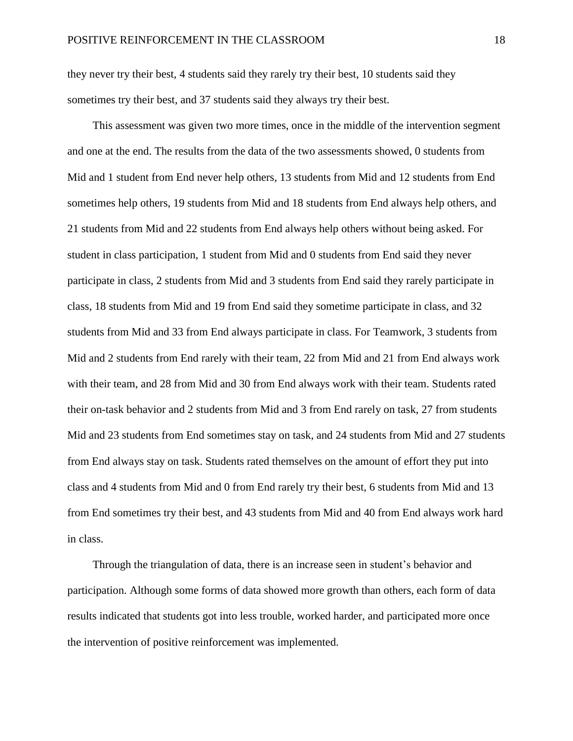they never try their best, 4 students said they rarely try their best, 10 students said they sometimes try their best, and 37 students said they always try their best.

 This assessment was given two more times, once in the middle of the intervention segment and one at the end. The results from the data of the two assessments showed, 0 students from Mid and 1 student from End never help others, 13 students from Mid and 12 students from End sometimes help others, 19 students from Mid and 18 students from End always help others, and 21 students from Mid and 22 students from End always help others without being asked. For student in class participation, 1 student from Mid and 0 students from End said they never participate in class, 2 students from Mid and 3 students from End said they rarely participate in class, 18 students from Mid and 19 from End said they sometime participate in class, and 32 students from Mid and 33 from End always participate in class. For Teamwork, 3 students from Mid and 2 students from End rarely with their team, 22 from Mid and 21 from End always work with their team, and 28 from Mid and 30 from End always work with their team. Students rated their on-task behavior and 2 students from Mid and 3 from End rarely on task, 27 from students Mid and 23 students from End sometimes stay on task, and 24 students from Mid and 27 students from End always stay on task. Students rated themselves on the amount of effort they put into class and 4 students from Mid and 0 from End rarely try their best, 6 students from Mid and 13 from End sometimes try their best, and 43 students from Mid and 40 from End always work hard in class.

 Through the triangulation of data, there is an increase seen in student's behavior and participation. Although some forms of data showed more growth than others, each form of data results indicated that students got into less trouble, worked harder, and participated more once the intervention of positive reinforcement was implemented.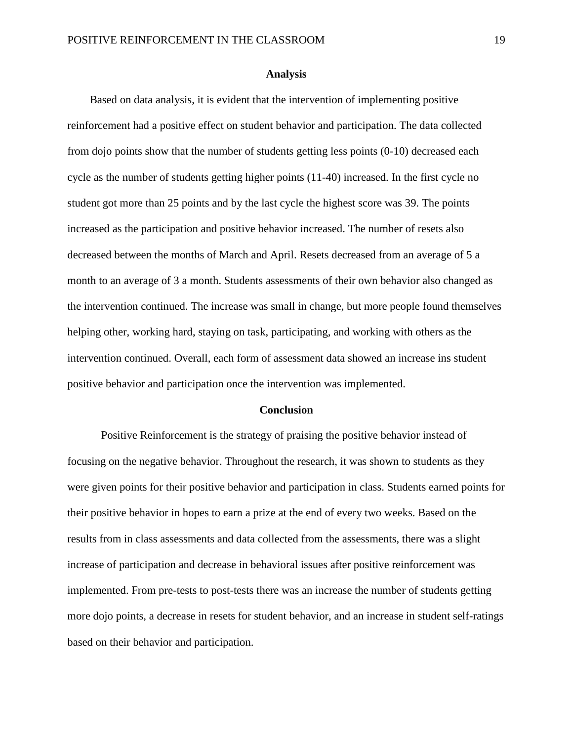### **Analysis**

 Based on data analysis, it is evident that the intervention of implementing positive reinforcement had a positive effect on student behavior and participation. The data collected from dojo points show that the number of students getting less points (0-10) decreased each cycle as the number of students getting higher points (11-40) increased. In the first cycle no student got more than 25 points and by the last cycle the highest score was 39. The points increased as the participation and positive behavior increased. The number of resets also decreased between the months of March and April. Resets decreased from an average of 5 a month to an average of 3 a month. Students assessments of their own behavior also changed as the intervention continued. The increase was small in change, but more people found themselves helping other, working hard, staying on task, participating, and working with others as the intervention continued. Overall, each form of assessment data showed an increase ins student positive behavior and participation once the intervention was implemented.

#### **Conclusion**

Positive Reinforcement is the strategy of praising the positive behavior instead of focusing on the negative behavior. Throughout the research, it was shown to students as they were given points for their positive behavior and participation in class. Students earned points for their positive behavior in hopes to earn a prize at the end of every two weeks. Based on the results from in class assessments and data collected from the assessments, there was a slight increase of participation and decrease in behavioral issues after positive reinforcement was implemented. From pre-tests to post-tests there was an increase the number of students getting more dojo points, a decrease in resets for student behavior, and an increase in student self-ratings based on their behavior and participation.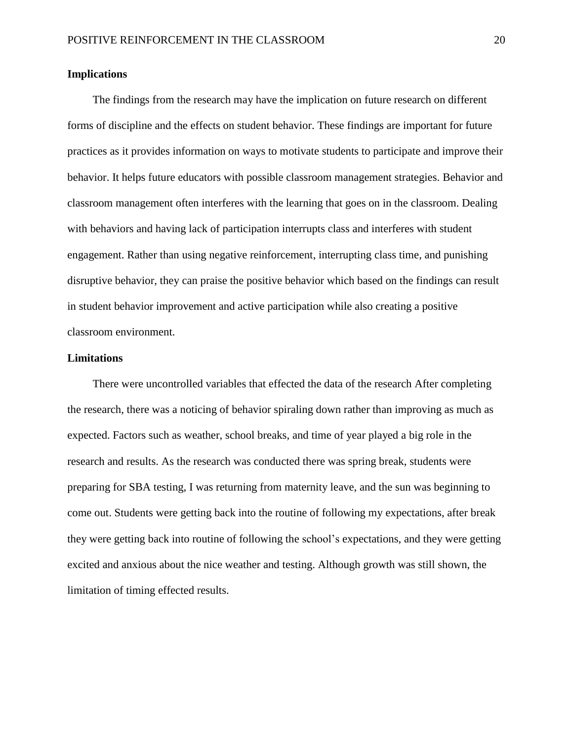# **Implications**

The findings from the research may have the implication on future research on different forms of discipline and the effects on student behavior. These findings are important for future practices as it provides information on ways to motivate students to participate and improve their behavior. It helps future educators with possible classroom management strategies. Behavior and classroom management often interferes with the learning that goes on in the classroom. Dealing with behaviors and having lack of participation interrupts class and interferes with student engagement. Rather than using negative reinforcement, interrupting class time, and punishing disruptive behavior, they can praise the positive behavior which based on the findings can result in student behavior improvement and active participation while also creating a positive classroom environment.

# **Limitations**

 There were uncontrolled variables that effected the data of the research After completing the research, there was a noticing of behavior spiraling down rather than improving as much as expected. Factors such as weather, school breaks, and time of year played a big role in the research and results. As the research was conducted there was spring break, students were preparing for SBA testing, I was returning from maternity leave, and the sun was beginning to come out. Students were getting back into the routine of following my expectations, after break they were getting back into routine of following the school's expectations, and they were getting excited and anxious about the nice weather and testing. Although growth was still shown, the limitation of timing effected results.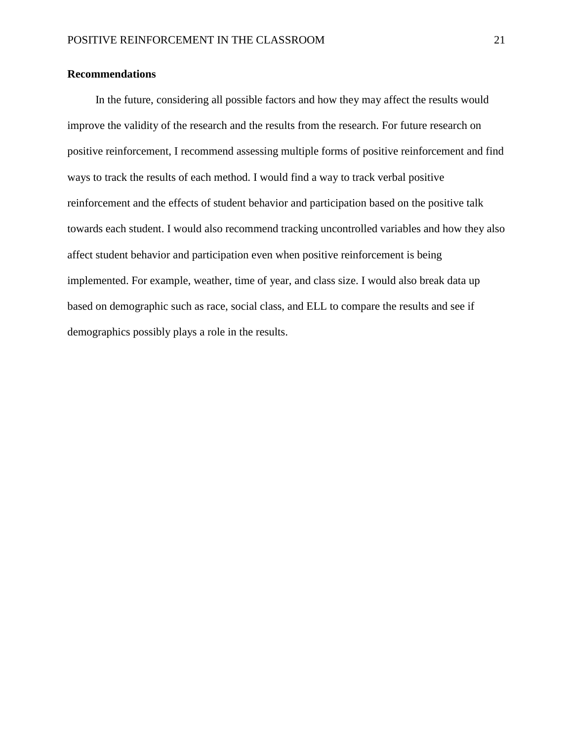# **Recommendations**

 In the future, considering all possible factors and how they may affect the results would improve the validity of the research and the results from the research. For future research on positive reinforcement, I recommend assessing multiple forms of positive reinforcement and find ways to track the results of each method. I would find a way to track verbal positive reinforcement and the effects of student behavior and participation based on the positive talk towards each student. I would also recommend tracking uncontrolled variables and how they also affect student behavior and participation even when positive reinforcement is being implemented. For example, weather, time of year, and class size. I would also break data up based on demographic such as race, social class, and ELL to compare the results and see if demographics possibly plays a role in the results.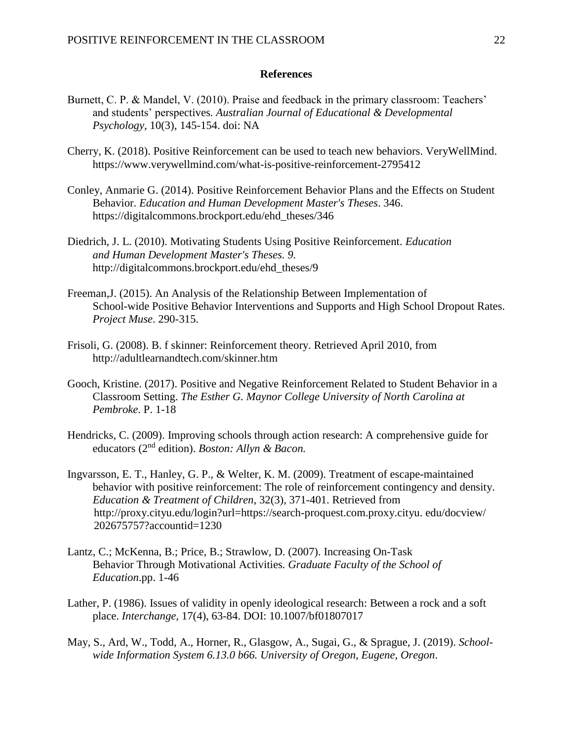# **References**

- Burnett, C. P. & Mandel, V. (2010). Praise and feedback in the primary classroom: Teachers' and students' perspectives*. Australian Journal of Educational & Developmental Psychology*, 10(3), 145-154. doi: NA
- Cherry, K. (2018). Positive Reinforcement can be used to teach new behaviors. VeryWellMind. https://www.verywellmind.com/what-is-positive-reinforcement-2795412
- Conley, Anmarie G. (2014). Positive Reinforcement Behavior Plans and the Effects on Student Behavior. *Education and Human Development Master's Theses*. 346. https://digitalcommons.brockport.edu/ehd\_theses/346
- Diedrich, J. L. (2010). Motivating Students Using Positive Reinforcement. *Education and Human Development Master's Theses. 9.* http://digitalcommons.brockport.edu/ehd\_theses/9
- Freeman,J. (2015). An Analysis of the Relationship Between Implementation of School-wide Positive Behavior Interventions and Supports and High School Dropout Rates. *Project Muse*. 290-315.
- Frisoli, G. (2008). B. f skinner: Reinforcement theory. Retrieved April 2010, from http://adultlearnandtech.com/skinner.htm
- Gooch, Kristine. (2017). Positive and Negative Reinforcement Related to Student Behavior in a Classroom Setting. *The Esther G. Maynor College University of North Carolina at Pembroke*. P. 1-18
- Hendricks, C. (2009). Improving schools through action research: A comprehensive guide for educators (2nd edition). *Boston: Allyn & Bacon.*
- Ingvarsson, E. T., Hanley, G. P., & Welter, K. M. (2009). Treatment of escape-maintained behavior with positive reinforcement: The role of reinforcement contingency and density. *Education & Treatment of Children*, 32(3), 371-401. Retrieved from http://proxy.cityu.edu/login?url=https://search-proquest.com.proxy.cityu. edu/docview/ 202675757?accountid=1230
- Lantz, C.; McKenna, B.; Price, B.; Strawlow, D. (2007). Increasing On-Task Behavior Through Motivational Activities*. Graduate Faculty of the School of Education*.pp. 1-46
- Lather, P. (1986). Issues of validity in openly ideological research: Between a rock and a soft place. *Interchange,* 17(4), 63-84. DOI: 10.1007/bf01807017
- May, S., Ard, W., Todd, A., Horner, R., Glasgow, A., Sugai, G., & Sprague, J. (2019). *School wide Information System 6.13.0 b66. University of Oregon, Eugene, Oregon*.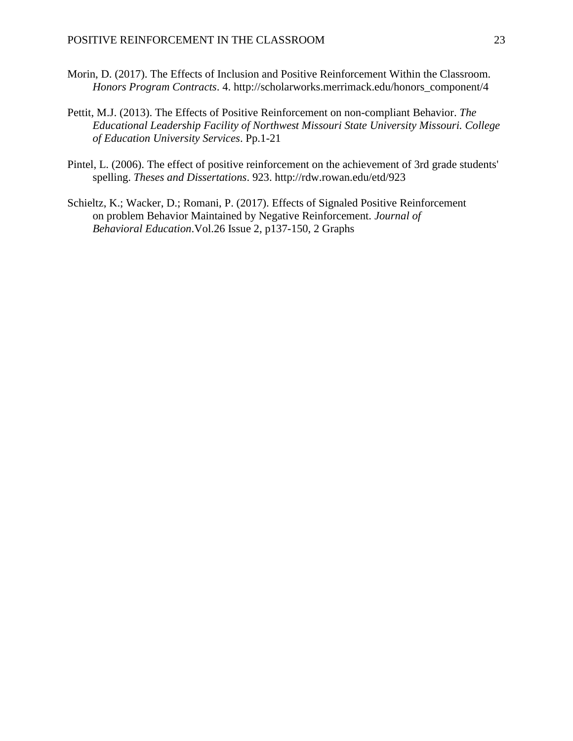- Morin, D. (2017). The Effects of Inclusion and Positive Reinforcement Within the Classroom. *Honors Program Contracts*. 4. http://scholarworks.merrimack.edu/honors\_component/4
- Pettit, M.J. (2013). The Effects of Positive Reinforcement on non-compliant Behavior. *The Educational Leadership Facility of Northwest Missouri State University Missouri. College of Education University Services*. Pp.1-21
- Pintel, L. (2006). The effect of positive reinforcement on the achievement of 3rd grade students' spelling. *Theses and Dissertations*. 923. http://rdw.rowan.edu/etd/923
- Schieltz, K.; Wacker, D.; Romani, P. (2017). Effects of Signaled Positive Reinforcement on problem Behavior Maintained by Negative Reinforcement. *Journal of Behavioral Education*.Vol.26 Issue 2, p137-150, 2 Graphs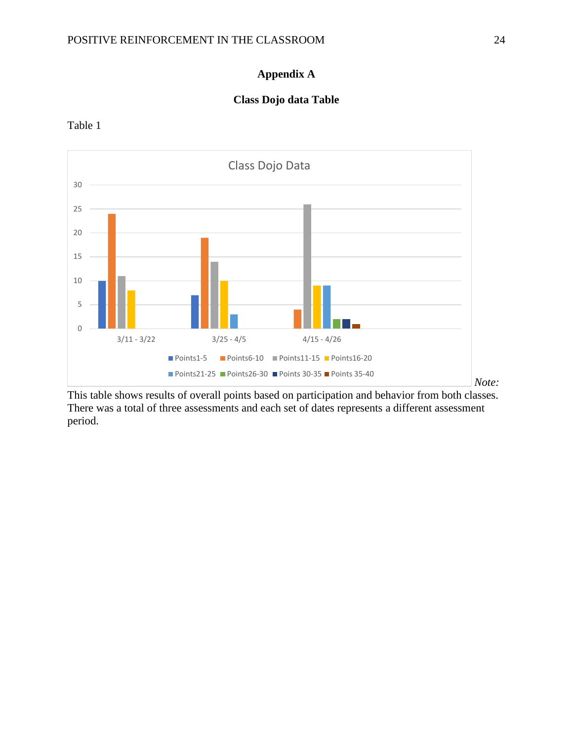# **Appendix A**

# **Class Dojo data Table**



Table 1

This table shows results of overall points based on participation and behavior from both classes. There was a total of three assessments and each set of dates represents a different assessment period.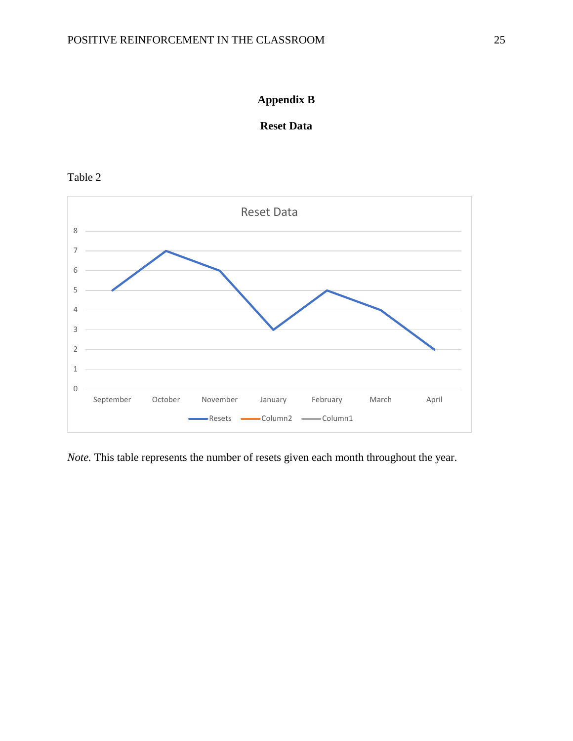

# **Reset Data**

Table 2



*Note.* This table represents the number of resets given each month throughout the year.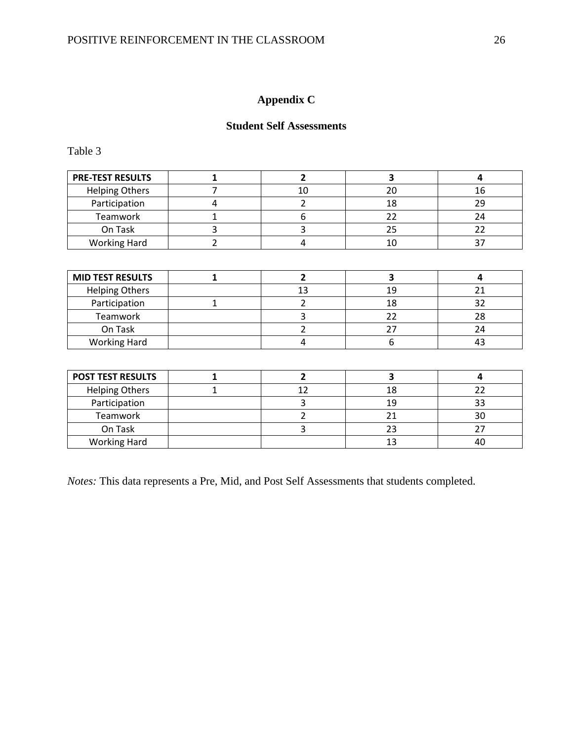# **Appendix C**

# **Student Self Assessments**

Table 3

| <b>PRE-TEST RESULTS</b> |  |  |
|-------------------------|--|--|
| <b>Helping Others</b>   |  |  |
| Participation           |  |  |
| Teamwork                |  |  |
| On Task                 |  |  |
| <b>Working Hard</b>     |  |  |

| <b>MID TEST RESULTS</b> |  |     |  |
|-------------------------|--|-----|--|
| <b>Helping Others</b>   |  | 1 Q |  |
| Participation           |  |     |  |
| Teamwork                |  |     |  |
| On Task                 |  |     |  |
| <b>Working Hard</b>     |  |     |  |

| <b>POST TEST RESULTS</b> |  |    |  |
|--------------------------|--|----|--|
| <b>Helping Others</b>    |  |    |  |
| Participation            |  | 19 |  |
| Teamwork                 |  |    |  |
| On Task                  |  |    |  |
| <b>Working Hard</b>      |  |    |  |

*Notes:* This data represents a Pre, Mid, and Post Self Assessments that students completed.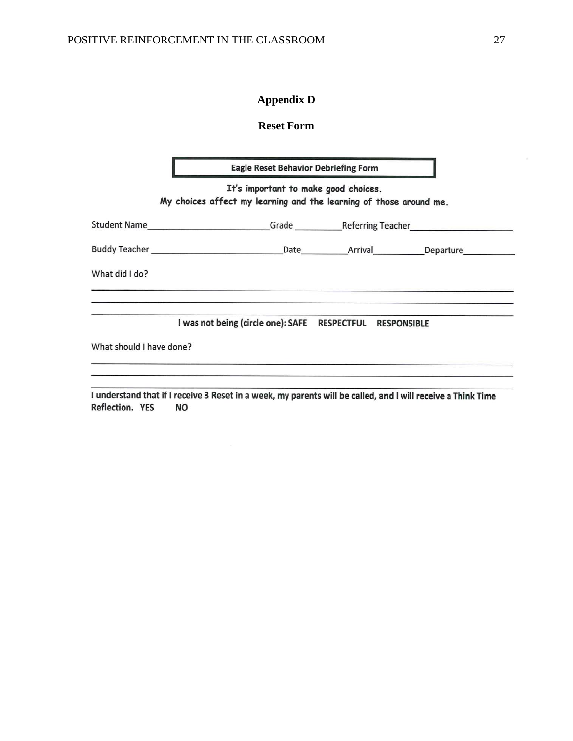# **Appendix D**

# **Reset Form**

| <b>Eagle Reset Behavior Debriefing Form</b> |                                                                    |  |                                      |                    |  |  |  |
|---------------------------------------------|--------------------------------------------------------------------|--|--------------------------------------|--------------------|--|--|--|
|                                             | My choices affect my learning and the learning of those around me. |  | It's important to make good choices. |                    |  |  |  |
|                                             |                                                                    |  |                                      |                    |  |  |  |
|                                             |                                                                    |  |                                      |                    |  |  |  |
| What did I do?                              |                                                                    |  |                                      |                    |  |  |  |
|                                             | I was not being (circle one): SAFE RESPECTFUL                      |  |                                      | <b>RESPONSIBLE</b> |  |  |  |
| What should I have done?                    |                                                                    |  |                                      |                    |  |  |  |

I understand that if I receive 3 Reset in a week, my parents will be called, and I will receive a Think Time **Reflection. YES NO** 

 $\mathcal{H}$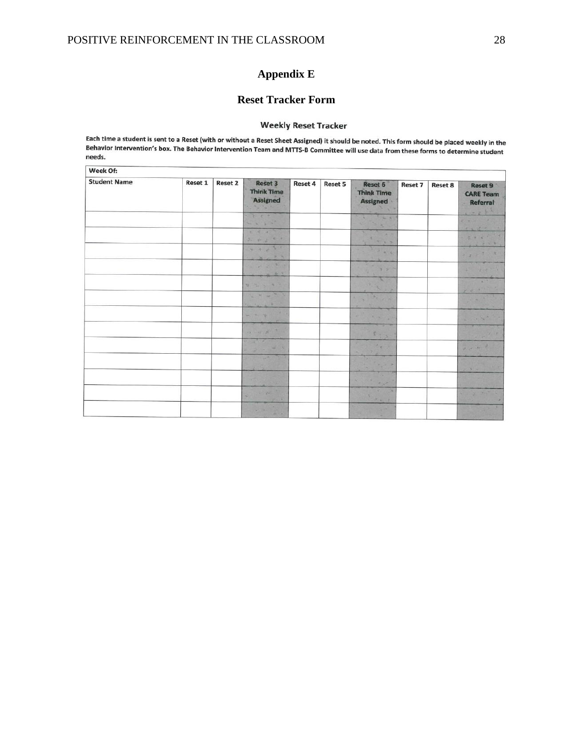# **Appendix E**

# **Reset Tracker Form**

# **Weekly Reset Tracker**

Each time a student is sent to a Reset (with or without a Reset Sheet Assigned) it should be noted. This form should be placed weekly in the Each time a student is sent to a Reset (with or without a Reset Sheet Assigned) it should be noted. This form should be placed weekly in the<br>Behavior Intervention's box. The Behavior Intervention Team and MTTS-B Committee needs.

| Week Of:            |         |                |                                                                                                                                                                                                                                                                                                                                                                                                                                                                                       |         |         |                                                                                                                                                                                                                                                                                                                                                                                                                                 |         |                |                                                                                                                           |
|---------------------|---------|----------------|---------------------------------------------------------------------------------------------------------------------------------------------------------------------------------------------------------------------------------------------------------------------------------------------------------------------------------------------------------------------------------------------------------------------------------------------------------------------------------------|---------|---------|---------------------------------------------------------------------------------------------------------------------------------------------------------------------------------------------------------------------------------------------------------------------------------------------------------------------------------------------------------------------------------------------------------------------------------|---------|----------------|---------------------------------------------------------------------------------------------------------------------------|
| <b>Student Name</b> | Reset 1 | <b>Reset 2</b> | <b>Reset 3</b><br><b>Think Time</b><br>Assigned                                                                                                                                                                                                                                                                                                                                                                                                                                       | Reset 4 | Reset 5 | <b>Reset 6</b><br><b>Think Time</b><br><b>Assigned</b>                                                                                                                                                                                                                                                                                                                                                                          | Reset 7 | <b>Reset 8</b> | Reset 9<br><b>CARE Team</b><br><b>Referral</b><br>- 2 3                                                                   |
|                     |         |                | $2 - 5 - 6$                                                                                                                                                                                                                                                                                                                                                                                                                                                                           |         |         | 1 2 3                                                                                                                                                                                                                                                                                                                                                                                                                           |         |                | <b>Pallin X</b>                                                                                                           |
|                     |         |                | $\begin{array}{c} \hline \begin{array}{ccc} \hline \begin{array}{ccc} \hline \begin{array}{ccc} \hline \begin{array}{ccc} \hline \end{array} & \hline \begin{array}{ccc} \hline \begin{array}{ccc} \hline \end{array} & \hline \begin{array}{ccc} \hline \end{array} & \hline \begin{array}{ccc} \hline \end{array} & \hline \end{array} & \hline \end{array} \end{array}$                                                                                                            |         |         | <b>COLLE</b>                                                                                                                                                                                                                                                                                                                                                                                                                    |         |                | 2.472                                                                                                                     |
|                     |         |                | $27 - 89 - 25 = 5$                                                                                                                                                                                                                                                                                                                                                                                                                                                                    |         |         | $+ 17$                                                                                                                                                                                                                                                                                                                                                                                                                          |         |                | 2 4 4 1<br>$7 - 5 = 2$                                                                                                    |
|                     |         |                | ケッシュー<br>$\frac{1}{2}$                                                                                                                                                                                                                                                                                                                                                                                                                                                                |         |         | 7.4.4                                                                                                                                                                                                                                                                                                                                                                                                                           |         |                | 27728                                                                                                                     |
|                     |         |                | 35.4<br>$\frac{1}{2}$<br>$\mathcal{L} = \mathcal{L} \mathcal{L} \mathcal{L} \mathcal{L} \mathcal{L} \mathcal{L} \mathcal{L} \mathcal{L} \mathcal{L} \mathcal{L} \mathcal{L} \mathcal{L} \mathcal{L} \mathcal{L} \mathcal{L} \mathcal{L} \mathcal{L} \mathcal{L} \mathcal{L} \mathcal{L} \mathcal{L} \mathcal{L} \mathcal{L} \mathcal{L} \mathcal{L} \mathcal{L} \mathcal{L} \mathcal{L} \mathcal{L} \mathcal{L} \mathcal{L} \mathcal{L} \mathcal{L} \mathcal{L} \mathcal{L} \mathcal$ |         |         | $\frac{1}{2} \int_{0}^{2\pi} \frac{1}{\sqrt{2}} \, \frac{1}{\sqrt{2}} \, \frac{1}{\sqrt{2}} \, \frac{1}{\sqrt{2}} \, \frac{1}{\sqrt{2}} \, \frac{1}{\sqrt{2}} \, \frac{1}{\sqrt{2}} \, \frac{1}{\sqrt{2}} \, \frac{1}{\sqrt{2}} \, \frac{1}{\sqrt{2}} \, \frac{1}{\sqrt{2}} \, \frac{1}{\sqrt{2}} \, \frac{1}{\sqrt{2}} \, \frac{1}{\sqrt{2}} \, \frac{1}{\sqrt{2}} \, \frac{1}{\sqrt{2}} \, \frac{1}{\sqrt{2}} \$<br><b>ST</b> |         |                | <b>SOF</b><br>35                                                                                                          |
|                     |         |                | With a F                                                                                                                                                                                                                                                                                                                                                                                                                                                                              |         |         | N. 5<br>30.20                                                                                                                                                                                                                                                                                                                                                                                                                   |         |                | 7233                                                                                                                      |
|                     |         |                | $-2$ and $-2$                                                                                                                                                                                                                                                                                                                                                                                                                                                                         |         |         | $\begin{array}{ccccc} \gamma_{\alpha} & \gamma_{\alpha} & \gamma_{\alpha} & \gamma_{\alpha} \end{array}$                                                                                                                                                                                                                                                                                                                        |         |                | $\label{eq:2} \begin{bmatrix} \mathbf{y} & \mathbf{y} & \mathbf{y} \\ \mathbf{y} & \mathbf{y} & \mathbf{y} \end{bmatrix}$ |
|                     |         |                | 98<br>$-74$<br><b>AR</b>                                                                                                                                                                                                                                                                                                                                                                                                                                                              |         |         | <b>Sec. 19</b><br>×                                                                                                                                                                                                                                                                                                                                                                                                             |         |                | 1.7.5                                                                                                                     |
|                     |         |                | - - -                                                                                                                                                                                                                                                                                                                                                                                                                                                                                 |         |         |                                                                                                                                                                                                                                                                                                                                                                                                                                 |         |                | 254                                                                                                                       |
|                     |         |                | $\mathcal{L}(\mathcal{L})$<br>$3 - 14$<br>$3 - 1$                                                                                                                                                                                                                                                                                                                                                                                                                                     |         |         | 20 2                                                                                                                                                                                                                                                                                                                                                                                                                            |         |                | $2 - 2 = 12$                                                                                                              |
|                     |         |                | <b>College</b>                                                                                                                                                                                                                                                                                                                                                                                                                                                                        |         |         | $\mathcal{P}_{\mathcal{P}_{\mathcal{A}}(\mathcal{A})}(\mathcal{B})$                                                                                                                                                                                                                                                                                                                                                             |         |                | $\mathbf{v} = \mathbf{v}$                                                                                                 |
|                     |         |                |                                                                                                                                                                                                                                                                                                                                                                                                                                                                                       |         |         | <b>KILVER</b><br>100                                                                                                                                                                                                                                                                                                                                                                                                            |         |                |                                                                                                                           |
|                     |         |                | a.<br>$-25 - 6$                                                                                                                                                                                                                                                                                                                                                                                                                                                                       |         |         | R<br>$\label{eq:2.1} \begin{array}{c} \mathcal{F}(\mathbf{x}) = \mathcal{F}(\mathbf{x}) \end{array}$                                                                                                                                                                                                                                                                                                                            |         |                |                                                                                                                           |
|                     |         |                | ×                                                                                                                                                                                                                                                                                                                                                                                                                                                                                     |         |         | <b>Side</b><br>×.                                                                                                                                                                                                                                                                                                                                                                                                               |         |                |                                                                                                                           |